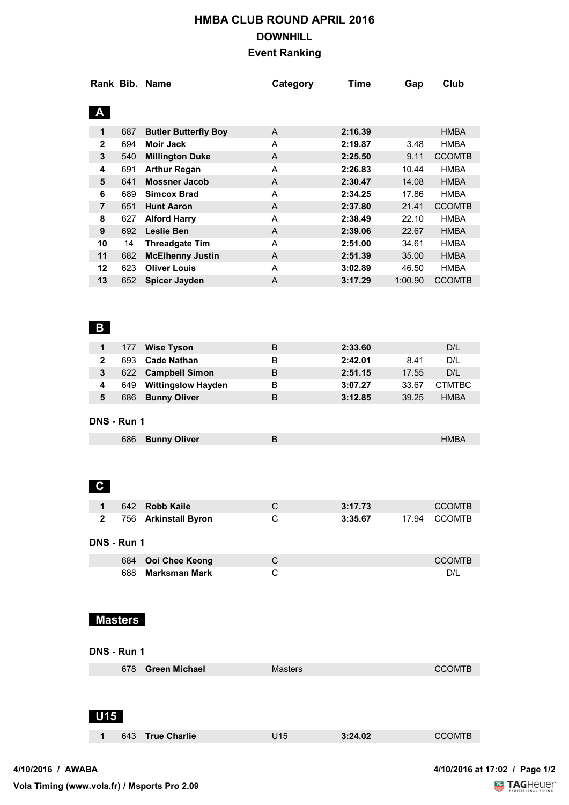## **HMBA CLUB ROUND APRIL 2016 DOWNHILL Event Ranking**

|                              |                | Rank Bib. Name                                   | Category                  | <b>Time</b>        | Gap            | Club                          |
|------------------------------|----------------|--------------------------------------------------|---------------------------|--------------------|----------------|-------------------------------|
| $\mathbf{A}$                 |                |                                                  |                           |                    |                |                               |
| 1                            | 687            |                                                  | $\mathsf{A}$              | 2:16.39            |                | <b>HMBA</b>                   |
|                              | 694            | <b>Butler Butterfly Boy</b><br><b>Moir Jack</b>  |                           | 2:19.87            | 3.48           | <b>HMBA</b>                   |
| $\mathbf 2$                  |                |                                                  | A                         |                    |                |                               |
| 3                            | 540            | <b>Millington Duke</b>                           | A                         | 2:25.50            | 9.11           | <b>CCOMTB</b>                 |
| 4                            | 691            | <b>Arthur Regan</b>                              | A                         | 2:26.83            | 10.44          | <b>HMBA</b>                   |
| 5                            | 641            | <b>Mossner Jacob</b>                             | A                         | 2:30.47            | 14.08          | <b>HMBA</b>                   |
| 6                            | 689            | <b>Simcox Brad</b>                               | A                         | 2:34.25            | 17.86          | <b>HMBA</b>                   |
| $\overline{\mathbf{7}}$      | 651            | <b>Hunt Aaron</b>                                | A                         | 2:37.80            | 21.41          | <b>CCOMTB</b>                 |
| 8                            | 627            | <b>Alford Harry</b>                              | A                         | 2:38.49            | 22.10          | <b>HMBA</b>                   |
| $\pmb{9}$                    | 692            | <b>Leslie Ben</b>                                | $\boldsymbol{\mathsf{A}}$ | 2:39.06            | 22.67          | <b>HMBA</b>                   |
| 10                           | 14             | <b>Threadgate Tim</b>                            | A                         | 2:51.00            | 34.61          | <b>HMBA</b>                   |
| 11                           | 682            | <b>McElhenny Justin</b>                          | A                         | 2:51.39            | 35.00          | <b>HMBA</b>                   |
| 12                           | 623            | <b>Oliver Louis</b>                              | A                         | 3:02.89            | 46.50          | <b>HMBA</b>                   |
| 13                           | 652            | <b>Spicer Jayden</b>                             | $\boldsymbol{\mathsf{A}}$ | 3:17.29            | 1:00.90        | <b>CCOMTB</b>                 |
| $\mathbf{B}$<br>$\mathbf{1}$ | 177            | <b>Wise Tyson</b>                                | B                         | 2:33.60            |                | D/L                           |
| $\mathbf{2}$                 | 693            | <b>Cade Nathan</b>                               | B                         | 2:42.01            | 8.41           | D/L                           |
| 3                            |                |                                                  | $\sf B$                   | 2:51.15            | 17.55          | D/L                           |
|                              |                | 622 Campbell Simon                               |                           |                    |                |                               |
| 4<br>5                       | 649<br>686     | <b>Wittingslow Hayden</b><br><b>Bunny Oliver</b> | B<br>$\sf B$              | 3:07.27<br>3:12.85 | 33.67<br>39.25 | <b>CTMTBC</b><br><b>HMBA</b>  |
|                              | DNS - Run 1    |                                                  |                           |                    |                |                               |
|                              | 686            | <b>Bunny Oliver</b>                              | B                         |                    |                | <b>HMBA</b>                   |
| $\mathbf{C}$                 |                |                                                  |                           |                    |                |                               |
| 1                            |                | 642 Robb Kaile                                   | C                         | 3:17.73            |                | <b>CCOMTB</b>                 |
| $\mathbf{2}$                 |                | 756 Arkinstall Byron                             | $\mathsf{C}$              | 3:35.67            | 17.94          | <b>CCOMTB</b>                 |
|                              | DNS - Run 1    |                                                  |                           |                    |                |                               |
|                              | 684            | Ooi Chee Keong                                   | $\mathsf{C}$              |                    |                | <b>CCOMTB</b>                 |
|                              | 688            | <b>Marksman Mark</b>                             | $\mathbf C$               |                    |                | D/L                           |
|                              | <b>Masters</b> |                                                  |                           |                    |                |                               |
|                              | DNS - Run 1    |                                                  |                           |                    |                |                               |
|                              |                | 678 Green Michael                                | <b>Masters</b>            |                    |                | <b>CCOMTB</b>                 |
| <b>U15</b>                   |                |                                                  |                           |                    |                |                               |
| 1                            | 643            | <b>True Charlie</b>                              | U15                       | 3:24.02            |                | <b>CCOMTB</b>                 |
|                              |                |                                                  |                           |                    |                |                               |
| 4/10/2016 / AWABA            |                |                                                  |                           |                    |                | 4/10/2016 at 17:02 / Page 1/2 |

**Vola Timing (www.vola.fr) / Msports Pro 2.09**